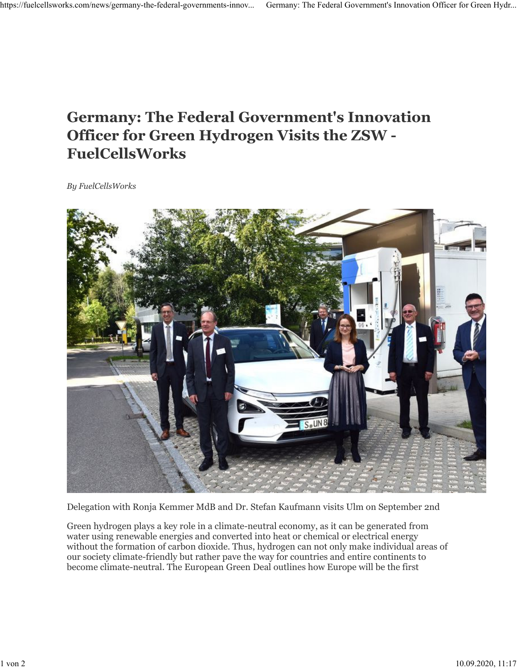## **Germany: The Federal Government's Innovation Officer for Green Hydrogen Visits the ZSW - FuelCellsWorks**

*By FuelCellsWorks*



Delegation with Ronja Kemmer MdB and Dr. Stefan Kaufmann visits Ulm on September 2nd

Green hydrogen plays a key role in a climate-neutral economy, as it can be generated from water using renewable energies and converted into heat or chemical or electrical energy without the formation of carbon dioxide. Thus, hydrogen can not only make individual areas of our society climate-friendly but rather pave the way for countries and entire continents to become climate-neutral. The European Green Deal outlines how Europe will be the first